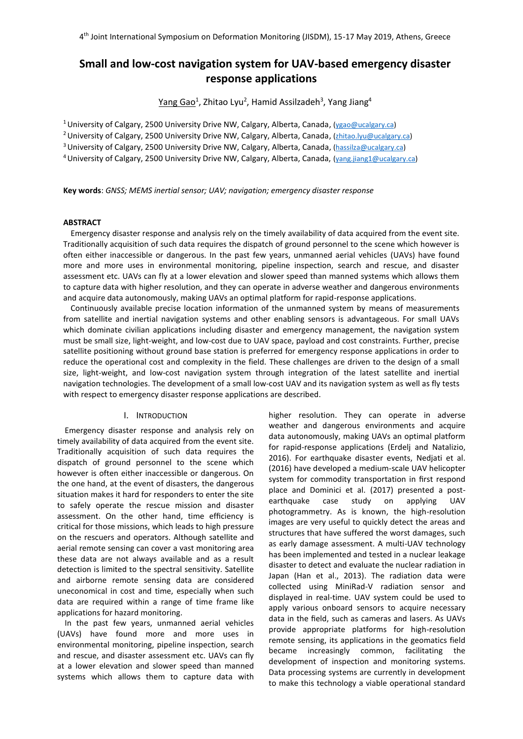# **Small and low-cost navigation system for UAV-based emergency disaster response applications**

<u>Yang Gao</u><sup>1</sup>, Zhitao Lyu<sup>2</sup>, Hamid Assilzadeh<sup>3</sup>, Yang Jiang<sup>4</sup>

<sup>1</sup> University of Calgary, 2500 University Drive NW, Calgary, Alberta, Canada, ( $ygao@ucalgary.ca$ ) <sup>2</sup> University of Calgary, 2500 University Drive NW, Calgary, Alberta, Canada, [\(zhitao.lyu@ucalgary.ca\)](mailto:zhitao.lyu@ucalgary.ca) <sup>3</sup> University of Calgary, 2500 University Drive NW, Calgary, Alberta, Canada, [\(hassilza@ucalgary.ca\)](mailto:hassilza@ucalgary.ca) 4 University of Calgary, 2500 University Drive NW, Calgary, Alberta, Canada, [\(yang.jiang1@ucalgary.ca\)](mailto:yang.jiang1@ucalgary.ca)

**Key words**: *GNSS; MEMS inertial sensor; UAV; navigation; emergency disaster response*

## **ABSTRACT**

Emergency disaster response and analysis rely on the timely availability of data acquired from the event site. Traditionally acquisition of such data requires the dispatch of ground personnel to the scene which however is often either inaccessible or dangerous. In the past few years, unmanned aerial vehicles (UAVs) have found more and more uses in environmental monitoring, pipeline inspection, search and rescue, and disaster assessment etc. UAVs can fly at a lower elevation and slower speed than manned systems which allows them to capture data with higher resolution, and they can operate in adverse weather and dangerous environments and acquire data autonomously, making UAVs an optimal platform for rapid-response applications.

Continuously available precise location information of the unmanned system by means of measurements from satellite and inertial navigation systems and other enabling sensors is advantageous. For small UAVs which dominate civilian applications including disaster and emergency management, the navigation system must be small size, light-weight, and low-cost due to UAV space, payload and cost constraints. Further, precise satellite positioning without ground base station is preferred for emergency response applications in order to reduce the operational cost and complexity in the field. These challenges are driven to the design of a small size, light-weight, and low-cost navigation system through integration of the latest satellite and inertial navigation technologies. The development of a small low-cost UAV and its navigation system as well as fly tests with respect to emergency disaster response applications are described.

#### I. INTRODUCTION

Emergency disaster response and analysis rely on timely availability of data acquired from the event site. Traditionally acquisition of such data requires the dispatch of ground personnel to the scene which however is often either inaccessible or dangerous. On the one hand, at the event of disasters, the dangerous situation makes it hard for responders to enter the site to safely operate the rescue mission and disaster assessment. On the other hand, time efficiency is critical for those missions, which leads to high pressure on the rescuers and operators. Although satellite and aerial remote sensing can cover a vast monitoring area these data are not always available and as a result detection is limited to the spectral sensitivity. Satellite and airborne remote sensing data are considered uneconomical in cost and time, especially when such data are required within a range of time frame like applications for hazard monitoring.

In the past few years, unmanned aerial vehicles (UAVs) have found more and more uses in environmental monitoring, pipeline inspection, search and rescue, and disaster assessment etc. UAVs can fly at a lower elevation and slower speed than manned systems which allows them to capture data with higher resolution. They can operate in adverse weather and dangerous environments and acquire data autonomously, making UAVs an optimal platform for rapid-response applications (Erdelj and Natalizio, 2016). For earthquake disaster events, Nedjati et al. (2016) have developed a medium-scale UAV helicopter system for commodity transportation in first respond place and Dominici et al. (2017) presented a postearthquake case study on applying UAV photogrammetry. As is known, the high-resolution images are very useful to quickly detect the areas and structures that have suffered the worst damages, such as early damage assessment. A multi-UAV technology has been implemented and tested in a nuclear leakage disaster to detect and evaluate the nuclear radiation in Japan (Han et al., 2013). The radiation data were collected using MiniRad-V radiation sensor and displayed in real-time. UAV system could be used to apply various onboard sensors to acquire necessary data in the field, such as cameras and lasers. As UAVs provide appropriate platforms for high-resolution remote sensing, its applications in the geomatics field became increasingly common, facilitating the development of inspection and monitoring systems. Data processing systems are currently in development to make this technology a viable operational standard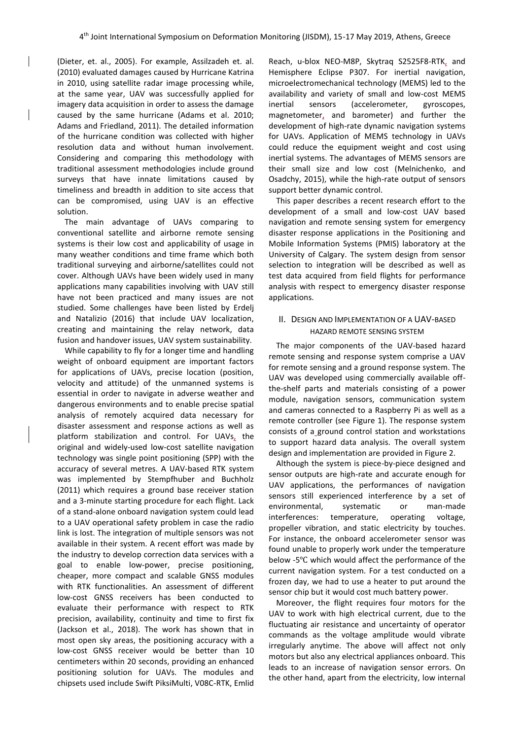(Dieter, et. al., 2005). For example, Assilzadeh et. al. (2010) evaluated damages caused by Hurricane Katrina in 2010, using satellite radar image processing while, at the same year, UAV was successfully applied for imagery data acquisition in order to assess the damage caused by the same hurricane (Adams et al. 2010; Adams and Friedland, 2011). The detailed information of the hurricane condition was collected with higher resolution data and without human involvement. Considering and comparing this methodology with traditional assessment methodologies include ground surveys that have innate limitations caused by timeliness and breadth in addition to site access that can be compromised, using UAV is an effective solution.

The main advantage of UAVs comparing to conventional satellite and airborne remote sensing systems is their low cost and applicability of usage in many weather conditions and time frame which both traditional surveying and airborne/satellites could not cover. Although UAVs have been widely used in many applications many capabilities involving with UAV still have not been practiced and many issues are not studied. Some challenges have been listed by Erdelj and Natalizio (2016) that include UAV localization, creating and maintaining the relay network, data fusion and handover issues, UAV system sustainability.

While capability to fly for a longer time and handling weight of onboard equipment are important factors for applications of UAVs, precise location (position, velocity and attitude) of the unmanned systems is essential in order to navigate in adverse weather and dangerous environments and to enable precise spatial analysis of remotely acquired data necessary for disaster assessment and response actions as well as platform stabilization and control. For UAVs, the original and widely-used low-cost satellite navigation technology was single point positioning (SPP) with the accuracy of several metres. A UAV-based RTK system was implemented by Stempfhuber and Buchholz (2011) which requires a ground base receiver station and a 3-minute starting procedure for each flight. Lack of a stand-alone onboard navigation system could lead to a UAV operational safety problem in case the radio link is lost. The integration of multiple sensors was not available in their system. A recent effort was made by the industry to develop correction data services with a goal to enable low-power, precise positioning, cheaper, more compact and scalable GNSS modules with RTK functionalities. An assessment of different low-cost GNSS receivers has been conducted to evaluate their performance with respect to RTK precision, availability, continuity and time to first fix (Jackson et al., 2018). The work has shown that in most open sky areas, the positioning accuracy with a low-cost GNSS receiver would be better than 10 centimeters within 20 seconds, providing an enhanced positioning solution for UAVs. The modules and chipsets used include Swift PiksiMulti, V08C-RTK, Emlid

Reach, u-blox NEO-M8P, Skytraq S2525F8-RTK, and Hemisphere Eclipse P307. For inertial navigation, microelectromechanical technology (MEMS) led to the availability and variety of small and low-cost MEMS inertial sensors (accelerometer, gyroscopes, magnetometer, and barometer) and further the development of high-rate dynamic navigation systems for UAVs. Application of MEMS technology in UAVs could reduce the equipment weight and cost using inertial systems. The advantages of MEMS sensors are their small size and low cost (Melnichenko, and Osadchy, 2015), while the high-rate output of sensors support better dynamic control.

This paper describes a recent research effort to the development of a small and low-cost UAV based navigation and remote sensing system for emergency disaster response applications in the Positioning and Mobile Information Systems (PMIS) laboratory at the University of Calgary. The system design from sensor selection to integration will be described as well as test data acquired from field flights for performance analysis with respect to emergency disaster response applications.

## II. DESIGN AND IMPLEMENTATION OF A UAV-BASED HAZARD REMOTE SENSING SYSTEM

The major components of the UAV-based hazard remote sensing and response system comprise a UAV for remote sensing and a ground response system. The UAV was developed using commercially available offthe-shelf parts and materials consisting of a power module, navigation sensors, communication system and cameras connected to a Raspberry Pi as well as a remote controller (see Figure 1). The response system consists of a ground control station and workstations to support hazard data analysis. The overall system design and implementation are provided in Figure 2.

Although the system is piece-by-piece designed and sensor outputs are high-rate and accurate enough for UAV applications, the performances of navigation sensors still experienced interference by a set of environmental, systematic or man-made interferences: temperature, operating voltage, propeller vibration, and static electricity by touches. For instance, the onboard accelerometer sensor was found unable to properly work under the temperature below -5℃ which would affect the performance of the current navigation system. For a test conducted on a frozen day, we had to use a heater to put around the sensor chip but it would cost much battery power.

Moreover, the flight requires four motors for the UAV to work with high electrical current, due to the fluctuating air resistance and uncertainty of operator commands as the voltage amplitude would vibrate irregularly anytime. The above will affect not only motors but also any electrical appliances onboard. This leads to an increase of navigation sensor errors. On the other hand, apart from the electricity, low internal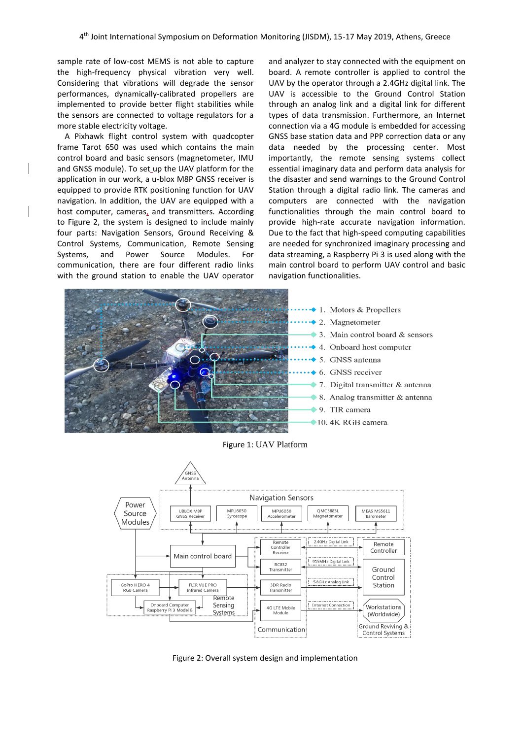sample rate of low-cost MEMS is not able to capture the high-frequency physical vibration very well. Considering that vibrations will degrade the sensor performances, dynamically-calibrated propellers are implemented to provide better flight stabilities while the sensors are connected to voltage regulators for a more stable electricity voltage.

A Pixhawk flight control system with quadcopter frame Tarot 650 was used which contains the main control board and basic sensors (magnetometer, IMU and GNSS module). To set up the UAV platform for the application in our work, a u-blox M8P GNSS receiver is equipped to provide RTK positioning function for UAV navigation. In addition, the UAV are equipped with a host computer, cameras, and transmitters. According to Figure 2, the system is designed to include mainly four parts: Navigation Sensors, Ground Receiving & Control Systems, Communication, Remote Sensing Systems, and Power Source Modules. For communication, there are four different radio links with the ground station to enable the UAV operator

and analyzer to stay connected with the equipment on board. A remote controller is applied to control the UAV by the operator through a 2.4GHz digital link. The UAV is accessible to the Ground Control Station through an analog link and a digital link for different types of data transmission. Furthermore, an Internet connection via a 4G module is embedded for accessing GNSS base station data and PPP correction data or any data needed by the processing center. Most importantly, the remote sensing systems collect essential imaginary data and perform data analysis for the disaster and send warnings to the Ground Control Station through a digital radio link. The cameras and computers are connected with the navigation functionalities through the main control board to provide high-rate accurate navigation information. Due to the fact that high-speed computing capabilities are needed for synchronized imaginary processing and data streaming, a Raspberry Pi 3 is used along with the main control board to perform UAV control and basic navigation functionalities.



Figure 1: UAV Platform



Figure 2: Overall system design and implementation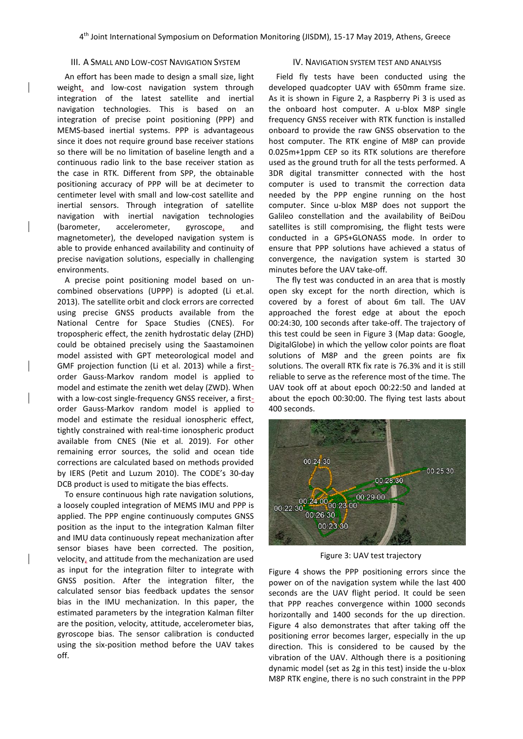## III. A SMALL AND LOW-COST NAVIGATION SYSTEM

An effort has been made to design a small size, light weight, and low-cost navigation system through integration of the latest satellite and inertial navigation technologies. This is based on an integration of precise point positioning (PPP) and MEMS-based inertial systems. PPP is advantageous since it does not require ground base receiver stations so there will be no limitation of baseline length and a continuous radio link to the base receiver station as the case in RTK. Different from SPP, the obtainable positioning accuracy of PPP will be at decimeter to centimeter level with small and low-cost satellite and inertial sensors. Through integration of satellite navigation with inertial navigation technologies (barometer, accelerometer, gyroscope, and magnetometer), the developed navigation system is able to provide enhanced availability and continuity of precise navigation solutions, especially in challenging environments.

A precise point positioning model based on uncombined observations (UPPP) is adopted (Li et.al. 2013). The satellite orbit and clock errors are corrected using precise GNSS products available from the National Centre for Space Studies (CNES). For tropospheric effect, the zenith hydrostatic delay (ZHD) could be obtained precisely using the Saastamoinen model assisted with GPT meteorological model and GMF projection function (Li et al. 2013) while a firstorder Gauss-Markov random model is applied to model and estimate the zenith wet delay (ZWD). When with a low-cost single-frequency GNSS receiver, a firstorder Gauss-Markov random model is applied to model and estimate the residual ionospheric effect, tightly constrained with real-time ionospheric product available from CNES (Nie et al. 2019). For other remaining error sources, the solid and ocean tide corrections are calculated based on methods provided by IERS (Petit and Luzum 2010). The CODE's 30-day DCB product is used to mitigate the bias effects.

To ensure continuous high rate navigation solutions, a loosely coupled integration of MEMS IMU and PPP is applied. The PPP engine continuously computes GNSS position as the input to the integration Kalman filter and IMU data continuously repeat mechanization after sensor biases have been corrected. The position, velocity, and attitude from the mechanization are used as input for the integration filter to integrate with GNSS position. After the integration filter, the calculated sensor bias feedback updates the sensor bias in the IMU mechanization. In this paper, the estimated parameters by the integration Kalman filter are the position, velocity, attitude, accelerometer bias, gyroscope bias. The sensor calibration is conducted using the six-position method before the UAV takes off.

### IV. NAVIGATION SYSTEM TEST AND ANALYSIS

Field fly tests have been conducted using the developed quadcopter UAV with 650mm frame size. As it is shown in Figure 2, a Raspberry Pi 3 is used as the onboard host computer. A u-blox M8P single frequency GNSS receiver with RTK function is installed onboard to provide the raw GNSS observation to the host computer. The RTK engine of M8P can provide 0.025m+1ppm CEP so its RTK solutions are therefore used as the ground truth for all the tests performed. A 3DR digital transmitter connected with the host computer is used to transmit the correction data needed by the PPP engine running on the host computer. Since u-blox M8P does not support the Galileo constellation and the availability of BeiDou satellites is still compromising, the flight tests were conducted in a GPS+GLONASS mode. In order to ensure that PPP solutions have achieved a status of convergence, the navigation system is started 30 minutes before the UAV take-off.

The fly test was conducted in an area that is mostly open sky except for the north direction, which is covered by a forest of about 6m tall. The UAV approached the forest edge at about the epoch 00:24:30, 100 seconds after take-off. The trajectory of this test could be seen in Figure 3 (Map data: Google, DigitalGlobe) in which the yellow color points are float solutions of M8P and the green points are fix solutions. The overall RTK fix rate is 76.3% and it is still reliable to serve as the reference most of the time. The UAV took off at about epoch 00:22:50 and landed at about the epoch 00:30:00. The flying test lasts about 400 seconds.



Figure 3: UAV test trajectory

Figure 4 shows the PPP positioning errors since the power on of the navigation system while the last 400 seconds are the UAV flight period. It could be seen that PPP reaches convergence within 1000 seconds horizontally and 1400 seconds for the up direction. Figure 4 also demonstrates that after taking off the positioning error becomes larger, especially in the up direction. This is considered to be caused by the vibration of the UAV. Although there is a positioning dynamic model (set as 2g in this test) inside the u-blox M8P RTK engine, there is no such constraint in the PPP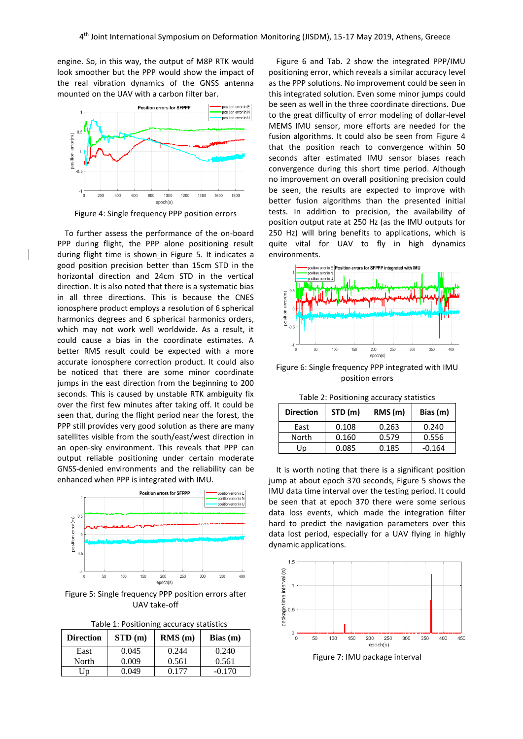engine. So, in this way, the output of M8P RTK would look smoother but the PPP would show the impact of the real vibration dynamics of the GNSS antenna mounted on the UAV with a carbon filter bar.



Figure 4: Single frequency PPP position errors

To further assess the performance of the on-board PPP during flight, the PPP alone positioning result during flight time is shown\_in Figure 5. It indicates a good position precision better than 15cm STD in the horizontal direction and 24cm STD in the vertical direction. It is also noted that there is a systematic bias in all three directions. This is because the CNES ionosphere product employs a resolution of 6 spherical harmonics degrees and 6 spherical harmonics orders, which may not work well worldwide. As a result, it could cause a bias in the coordinate estimates. A better RMS result could be expected with a more accurate ionosphere correction product. It could also be noticed that there are some minor coordinate jumps in the east direction from the beginning to 200 seconds. This is caused by unstable RTK ambiguity fix over the first few minutes after taking off. It could be seen that, during the flight period near the forest, the PPP still provides very good solution as there are many satellites visible from the south/east/west direction in an open-sky environment. This reveals that PPP can output reliable positioning under certain moderate GNSS-denied environments and the reliability can be enhanced when PPP is integrated with IMU.



Figure 5: Single frequency PPP position errors after UAV take-off

| Table 1: Positioning accuracy statistics |  |
|------------------------------------------|--|
|------------------------------------------|--|

| <b>Direction</b> | STD(m) | RMS(m) | Bias(m)  |
|------------------|--------|--------|----------|
| East             | 0.045  | 0.244  | 0.240    |
| North            | 0.009  | 0.561  | 0.561    |
| IJp              | 0 049  | በ 177  | $-0.170$ |

Figure 6 and Tab. 2 show the integrated PPP/IMU positioning error, which reveals a similar accuracy level as the PPP solutions. No improvement could be seen in this integrated solution. Even some minor jumps could be seen as well in the three coordinate directions. Due to the great difficulty of error modeling of dollar-level MEMS IMU sensor, more efforts are needed for the fusion algorithms. It could also be seen from Figure 4 that the position reach to convergence within 50 seconds after estimated IMU sensor biases reach convergence during this short time period. Although no improvement on overall positioning precision could be seen, the results are expected to improve with better fusion algorithms than the presented initial tests. In addition to precision, the availability of position output rate at 250 Hz (as the IMU outputs for 250 Hz) will bring benefits to applications, which is quite vital for UAV to fly in high dynamics environments.



Figure 6: Single frequency PPP integrated with IMU position errors

| <b>Direction</b> | STD (m) | RMS(m) | Bias (m) |
|------------------|---------|--------|----------|
| East             | 0.108   | 0.263  | 0.240    |
| North            | 0.160   | 0.579  | 0.556    |
| Up               | 0.085   | 0.185  | $-0.164$ |

It is worth noting that there is a significant position jump at about epoch 370 seconds, Figure 5 shows the IMU data time interval over the testing period. It could be seen that at epoch 370 there were some serious data loss events, which made the integration filter hard to predict the navigation parameters over this data lost period, especially for a UAV flying in highly dynamic applications.



Figure 7: IMU package interval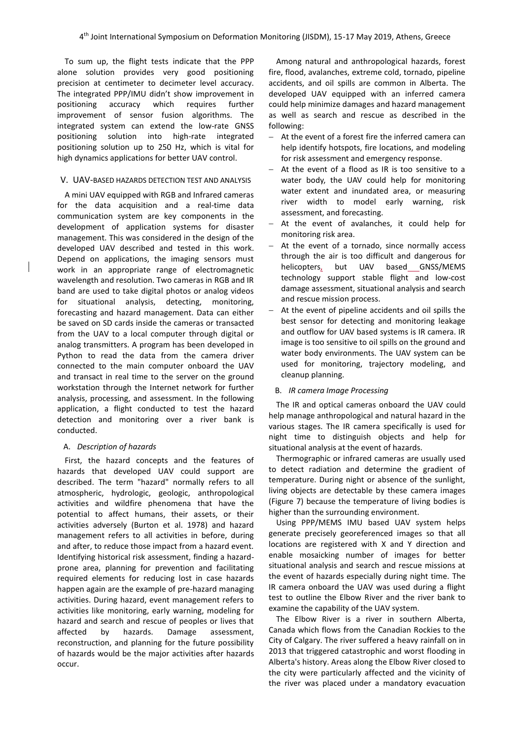To sum up, the flight tests indicate that the PPP alone solution provides very good positioning precision at centimeter to decimeter level accuracy. The integrated PPP/IMU didn't show improvement in positioning accuracy which requires further improvement of sensor fusion algorithms. The integrated system can extend the low-rate GNSS positioning solution into high-rate integrated positioning solution up to 250 Hz, which is vital for high dynamics applications for better UAV control.

#### V. UAV-BASED HAZARDS DETECTION TEST AND ANALYSIS

A mini UAV equipped with RGB and Infrared cameras for the data acquisition and a real-time data communication system are key components in the development of application systems for disaster management. This was considered in the design of the developed UAV described and tested in this work. Depend on applications, the imaging sensors must work in an appropriate range of electromagnetic wavelength and resolution. Two cameras in RGB and IR band are used to take digital photos or analog videos for situational analysis, detecting, monitoring, forecasting and hazard management. Data can either be saved on SD cards inside the cameras or transacted from the UAV to a local computer through digital or analog transmitters. A program has been developed in Python to read the data from the camera driver connected to the main computer onboard the UAV and transact in real time to the server on the ground workstation through the Internet network for further analysis, processing, and assessment. In the following application, a flight conducted to test the hazard detection and monitoring over a river bank is conducted.

## A. *Description of hazards*

First, the hazard concepts and the features of hazards that developed UAV could support are described. The term "hazard" normally refers to all atmospheric, hydrologic, geologic, anthropological activities and wildfire phenomena that have the potential to affect humans, their assets, or their activities adversely (Burton et al. 1978) and hazard management refers to all activities in before, during and after, to reduce those impact from a hazard event. Identifying historical risk assessment, finding a hazardprone area, planning for prevention and facilitating required elements for reducing lost in case hazards happen again are the example of pre-hazard managing activities. During hazard, event management refers to activities like monitoring, early warning, modeling for hazard and search and rescue of peoples or lives that affected by hazards. Damage assessment, reconstruction, and planning for the future possibility of hazards would be the major activities after hazards occur.

Among natural and anthropological hazards, forest fire, flood, avalanches, extreme cold, tornado, pipeline accidents, and oil spills are common in Alberta. The developed UAV equipped with an inferred camera could help minimize damages and hazard management as well as search and rescue as described in the following:

- At the event of a forest fire the inferred camera can help identify hotspots, fire locations, and modeling for risk assessment and emergency response.
- At the event of a flood as IR is too sensitive to a water body, the UAV could help for monitoring water extent and inundated area, or measuring river width to model early warning, risk assessment, and forecasting.
- At the event of avalanches, it could help for monitoring risk area.
- At the event of a tornado, since normally access through the air is too difficult and dangerous for helicopters, but UAV based GNSS/MEMS technology support stable flight and low-cost damage assessment, situational analysis and search and rescue mission process.
- At the event of pipeline accidents and oil spills the best sensor for detecting and monitoring leakage and outflow for UAV based systems is IR camera. IR image is too sensitive to oil spills on the ground and water body environments. The UAV system can be used for monitoring, trajectory modeling, and cleanup planning.

#### B. *IR camera Image Processing*

The IR and optical cameras onboard the UAV could help manage anthropological and natural hazard in the various stages. The IR camera specifically is used for night time to distinguish objects and help for situational analysis at the event of hazards.

Thermographic or infrared cameras are usually used to detect radiation and determine the gradient of temperature. During night or absence of the sunlight, living objects are detectable by these camera images (Figure 7) because the temperature of living bodies is higher than the surrounding environment.

Using PPP/MEMS IMU based UAV system helps generate precisely georeferenced images so that all locations are registered with X and Y direction and enable mosaicking number of images for better situational analysis and search and rescue missions at the event of hazards especially during night time. The IR camera onboard the UAV was used during a flight test to outline the Elbow River and the river bank to examine the capability of the UAV system.

The Elbow River is a river in southern Alberta, Canada which flows from the Canadian Rockies to the City of Calgary. The river suffered a heavy rainfall on in 2013 that triggered catastrophic and worst flooding in Alberta's history. Areas along the Elbow River closed to the city were particularly affected and the vicinity of the river was placed under a mandatory evacuation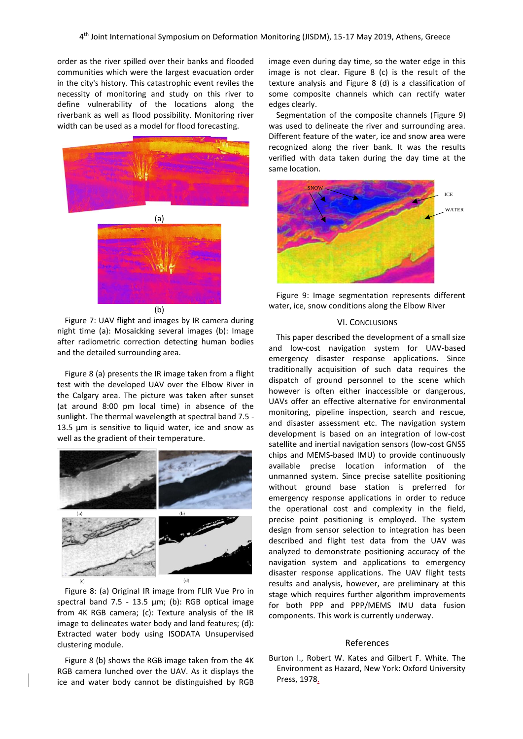order as the river spilled over their banks and flooded communities which were the largest evacuation order in the city's history. This catastrophic event reviles the necessity of monitoring and study on this river to define vulnerability of the locations along the riverbank as well as flood possibility. Monitoring river width can be used as a model for flood forecasting.



Figure 7: UAV flight and images by IR camera during night time (a): Mosaicking several images (b): Image after radiometric correction detecting human bodies and the detailed surrounding area.

Figure 8 (a) presents the IR image taken from a flight test with the developed UAV over the Elbow River in the Calgary area. The picture was taken after sunset (at around 8:00 pm local time) in absence of the sunlight. The thermal wavelength at spectral band 7.5 - 13.5 µm is sensitive to liquid water, ice and snow as well as the gradient of their temperature.



Figure 8: (a) Original IR image from FLIR Vue Pro in spectral band 7.5 - 13.5 µm; (b): RGB optical image from 4K RGB camera; (c): Texture analysis of the IR image to delineates water body and land features; (d): Extracted water body using ISODATA Unsupervised clustering module.

Figure 8 (b) shows the RGB image taken from the 4K RGB camera lunched over the UAV. As it displays the ice and water body cannot be distinguished by RGB image even during day time, so the water edge in this image is not clear. Figure 8 (c) is the result of the texture analysis and Figure 8 (d) is a classification of some composite channels which can rectify water edges clearly.

Segmentation of the composite channels (Figure 9) was used to delineate the river and surrounding area. Different feature of the water, ice and snow area were recognized along the river bank. It was the results verified with data taken during the day time at the same location.





# VI. CONCLUSIONS

This paper described the development of a small size and low-cost navigation system for UAV-based emergency disaster response applications. Since traditionally acquisition of such data requires the dispatch of ground personnel to the scene which however is often either inaccessible or dangerous, UAVs offer an effective alternative for environmental monitoring, pipeline inspection, search and rescue, and disaster assessment etc. The navigation system development is based on an integration of low-cost satellite and inertial navigation sensors (low-cost GNSS chips and MEMS-based IMU) to provide continuously available precise location information of the unmanned system. Since precise satellite positioning without ground base station is preferred for emergency response applications in order to reduce the operational cost and complexity in the field, precise point positioning is employed. The system design from sensor selection to integration has been described and flight test data from the UAV was analyzed to demonstrate positioning accuracy of the navigation system and applications to emergency disaster response applications. The UAV flight tests results and analysis, however, are preliminary at this stage which requires further algorithm improvements for both PPP and PPP/MEMS IMU data fusion components. This work is currently underway.

#### References

Burton I., Robert W. Kates and Gilbert F. White. The Environment as Hazard, New York: Oxford University Press, 1978.